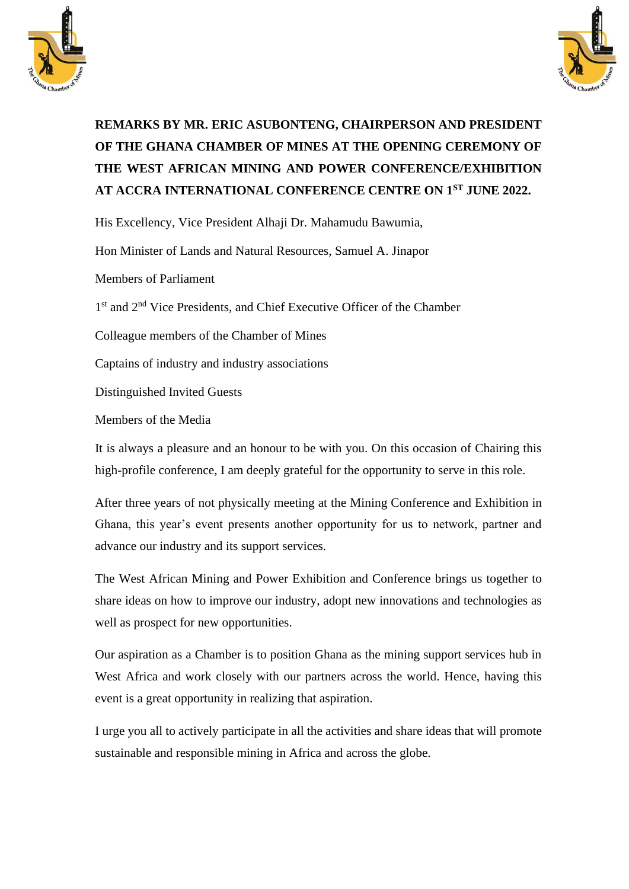



## **REMARKS BY MR. ERIC ASUBONTENG, CHAIRPERSON AND PRESIDENT OF THE GHANA CHAMBER OF MINES AT THE OPENING CEREMONY OF THE WEST AFRICAN MINING AND POWER CONFERENCE/EXHIBITION AT ACCRA INTERNATIONAL CONFERENCE CENTRE ON 1ST JUNE 2022.**

His Excellency, Vice President Alhaji Dr. Mahamudu Bawumia,

Hon Minister of Lands and Natural Resources, Samuel A. Jinapor

Members of Parliament

1<sup>st</sup> and 2<sup>nd</sup> Vice Presidents, and Chief Executive Officer of the Chamber

Colleague members of the Chamber of Mines

Captains of industry and industry associations

Distinguished Invited Guests

Members of the Media

It is always a pleasure and an honour to be with you. On this occasion of Chairing this high-profile conference, I am deeply grateful for the opportunity to serve in this role.

After three years of not physically meeting at the Mining Conference and Exhibition in Ghana, this year's event presents another opportunity for us to network, partner and advance our industry and its support services.

The West African Mining and Power Exhibition and Conference brings us together to share ideas on how to improve our industry, adopt new innovations and technologies as well as prospect for new opportunities.

Our aspiration as a Chamber is to position Ghana as the mining support services hub in West Africa and work closely with our partners across the world. Hence, having this event is a great opportunity in realizing that aspiration.

I urge you all to actively participate in all the activities and share ideas that will promote sustainable and responsible mining in Africa and across the globe.